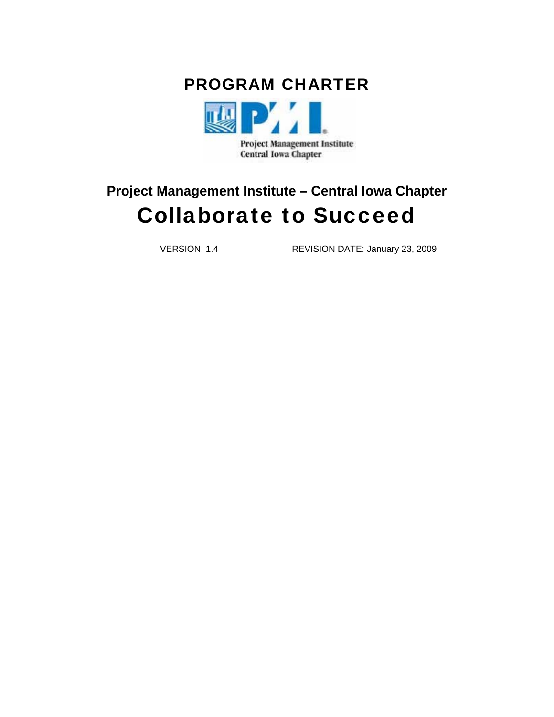



# **Project Management Institute – Central Iowa Chapter** Collaborate to Succeed

VERSION: 1.4 REVISION DATE: January 23, 2009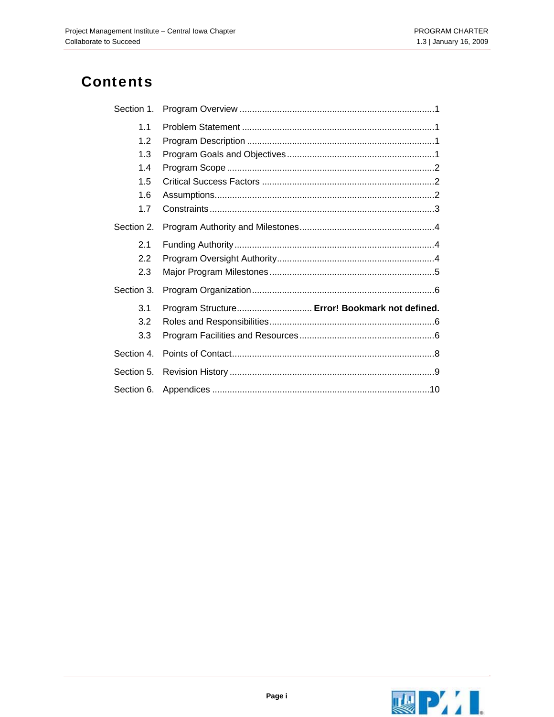## **Contents**

| Section 1. |                                                |
|------------|------------------------------------------------|
| 1.1        |                                                |
| 1.2        |                                                |
| 1.3        |                                                |
| 1.4        |                                                |
| 1.5        |                                                |
| 1.6        |                                                |
| 1.7        |                                                |
| Section 2. |                                                |
| 2.1        |                                                |
| 2.2        |                                                |
| 2.3        |                                                |
| Section 3. |                                                |
| 3.1        | Program Structure Error! Bookmark not defined. |
| 3.2        |                                                |
| 3.3        |                                                |
| Section 4. |                                                |
| Section 5. |                                                |
| Section 6. |                                                |

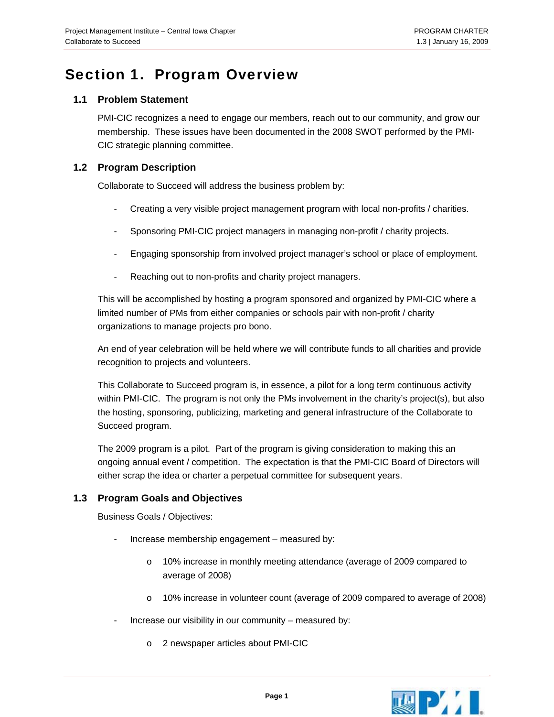### <span id="page-2-0"></span>Section 1. Program Overview

### **1.1 Problem Statement**

PMI-CIC recognizes a need to engage our members, reach out to our community, and grow our membership. These issues have been documented in the 2008 SWOT performed by the PMI-CIC strategic planning committee.

### **1.2 Program Description**

Collaborate to Succeed will address the business problem by:

- Creating a very visible project management program with local non-profits / charities.
- Sponsoring PMI-CIC project managers in managing non-profit / charity projects.
- Engaging sponsorship from involved project manager's school or place of employment.
- Reaching out to non-profits and charity project managers.

This will be accomplished by hosting a program sponsored and organized by PMI-CIC where a limited number of PMs from either companies or schools pair with non-profit / charity organizations to manage projects pro bono.

An end of year celebration will be held where we will contribute funds to all charities and provide recognition to projects and volunteers.

This Collaborate to Succeed program is, in essence, a pilot for a long term continuous activity within PMI-CIC. The program is not only the PMs involvement in the charity's project(s), but also the hosting, sponsoring, publicizing, marketing and general infrastructure of the Collaborate to Succeed program.

The 2009 program is a pilot. Part of the program is giving consideration to making this an ongoing annual event / competition. The expectation is that the PMI-CIC Board of Directors will either scrap the idea or charter a perpetual committee for subsequent years.

### **1.3 Program Goals and Objectives**

Business Goals / Objectives:

- Increase membership engagement measured by:
	- o 10% increase in monthly meeting attendance (average of 2009 compared to average of 2008)
	- o 10% increase in volunteer count (average of 2009 compared to average of 2008)
- Increase our visibility in our community measured by:
	- o 2 newspaper articles about PMI-CIC

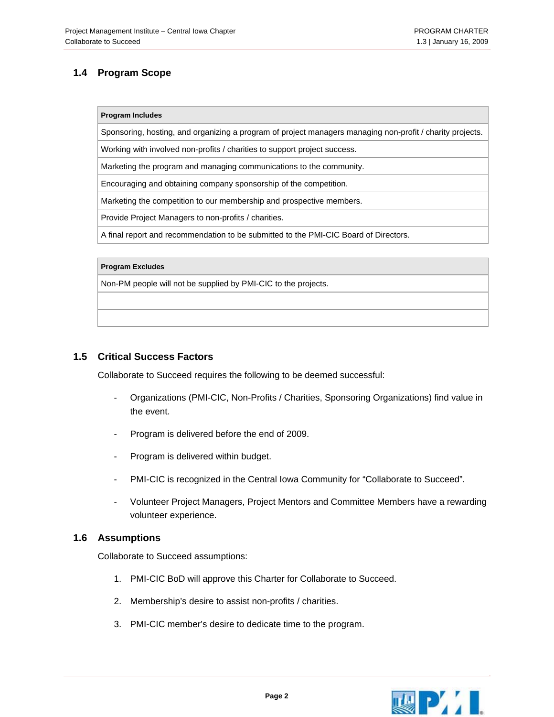### <span id="page-3-0"></span>**1.4 Program Scope**

#### **Program Includes**

Sponsoring, hosting, and organizing a program of project managers managing non-profit / charity projects.

Working with involved non-profits / charities to support project success.

Marketing the program and managing communications to the community.

Encouraging and obtaining company sponsorship of the competition.

Marketing the competition to our membership and prospective members.

Provide Project Managers to non-profits / charities.

A final report and recommendation to be submitted to the PMI-CIC Board of Directors.

#### **Program Excludes**

Non-PM people will not be supplied by PMI-CIC to the projects.

#### **1.5 Critical Success Factors**

Collaborate to Succeed requires the following to be deemed successful:

- Organizations (PMI-CIC, Non-Profits / Charities, Sponsoring Organizations) find value in the event.
- Program is delivered before the end of 2009.
- Program is delivered within budget.
- PMI-CIC is recognized in the Central Iowa Community for "Collaborate to Succeed".
- Volunteer Project Managers, Project Mentors and Committee Members have a rewarding volunteer experience.

#### **1.6 Assumptions**

Collaborate to Succeed assumptions:

- 1. PMI-CIC BoD will approve this Charter for Collaborate to Succeed.
- 2. Membership's desire to assist non-profits / charities.
- 3. PMI-CIC member's desire to dedicate time to the program.

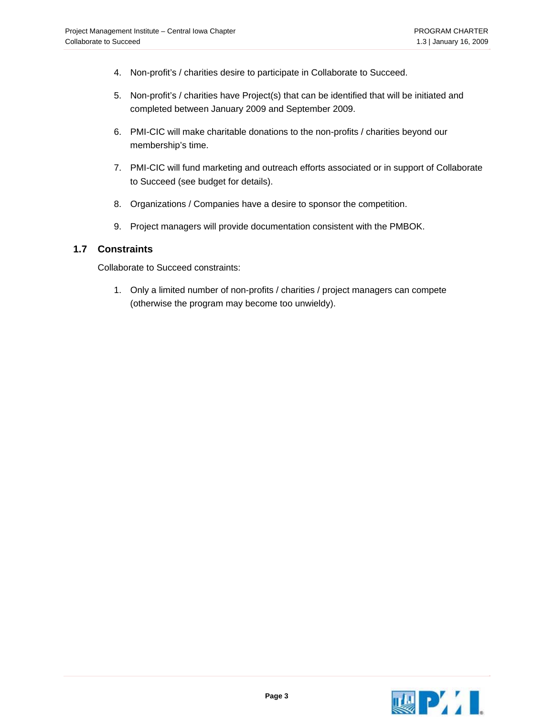- <span id="page-4-0"></span>4. Non-profit's / charities desire to participate in Collaborate to Succeed.
- 5. Non-profit's / charities have Project(s) that can be identified that will be initiated and completed between January 2009 and September 2009.
- 6. PMI-CIC will make charitable donations to the non-profits / charities beyond our membership's time.
- 7. PMI-CIC will fund marketing and outreach efforts associated or in support of Collaborate to Succeed (see budget for details).
- 8. Organizations / Companies have a desire to sponsor the competition.
- 9. Project managers will provide documentation consistent with the PMBOK.

#### **1.7 Constraints**

Collaborate to Succeed constraints:

1. Only a limited number of non-profits / charities / project managers can compete (otherwise the program may become too unwieldy).

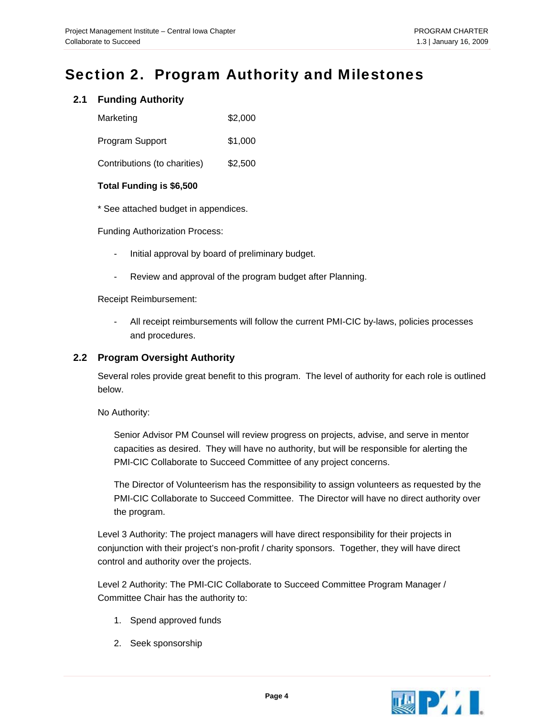### <span id="page-5-0"></span>Section 2. Program Authority and Milestones

### **2.1 Funding Authority**

| Marketing                    | \$2,000 |
|------------------------------|---------|
| <b>Program Support</b>       | \$1,000 |
| Contributions (to charities) | \$2,500 |

#### **Total Funding is \$6,500**

\* See attached budget in appendices.

Funding Authorization Process:

- Initial approval by board of preliminary budget.
- Review and approval of the program budget after Planning.

Receipt Reimbursement:

- All receipt reimbursements will follow the current PMI-CIC by-laws, policies processes and procedures.

### **2.2 Program Oversight Authority**

Several roles provide great benefit to this program. The level of authority for each role is outlined below.

No Authority:

Senior Advisor PM Counsel will review progress on projects, advise, and serve in mentor capacities as desired. They will have no authority, but will be responsible for alerting the PMI-CIC Collaborate to Succeed Committee of any project concerns.

The Director of Volunteerism has the responsibility to assign volunteers as requested by the PMI-CIC Collaborate to Succeed Committee. The Director will have no direct authority over the program.

Level 3 Authority: The project managers will have direct responsibility for their projects in conjunction with their project's non-profit / charity sponsors. Together, they will have direct control and authority over the projects.

Level 2 Authority: The PMI-CIC Collaborate to Succeed Committee Program Manager / Committee Chair has the authority to:

- 1. Spend approved funds
- 2. Seek sponsorship

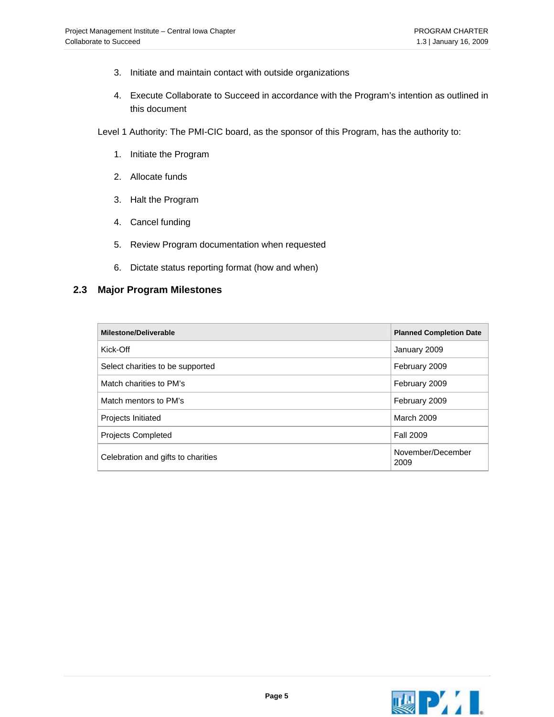- <span id="page-6-0"></span>3. Initiate and maintain contact with outside organizations
- 4. Execute Collaborate to Succeed in accordance with the Program's intention as outlined in this document
- Level 1 Authority: The PMI-CIC board, as the sponsor of this Program, has the authority to:
	- 1. Initiate the Program
	- 2. Allocate funds
	- 3. Halt the Program
	- 4. Cancel funding
	- 5. Review Program documentation when requested
	- 6. Dictate status reporting format (how and when)

#### **2.3 Major Program Milestones**

| <b>Milestone/Deliverable</b>       | <b>Planned Completion Date</b> |
|------------------------------------|--------------------------------|
| Kick-Off                           | January 2009                   |
| Select charities to be supported   | February 2009                  |
| Match charities to PM's            | February 2009                  |
| Match mentors to PM's              | February 2009                  |
| <b>Projects Initiated</b>          | <b>March 2009</b>              |
| <b>Projects Completed</b>          | <b>Fall 2009</b>               |
| Celebration and gifts to charities | November/December<br>2009      |

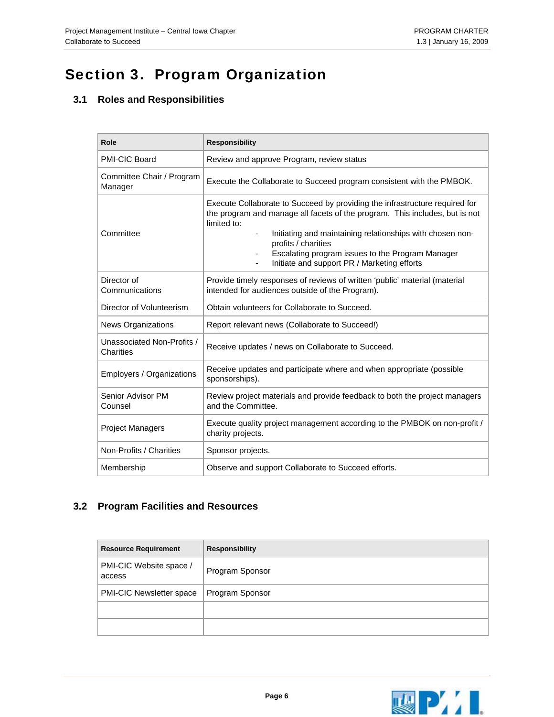# <span id="page-7-0"></span>Section 3. Program Organization

### **3.1 Roles and Responsibilities**

| Role                                    | <b>Responsibility</b>                                                                                                                                                                                                                                                                                                                                                                        |
|-----------------------------------------|----------------------------------------------------------------------------------------------------------------------------------------------------------------------------------------------------------------------------------------------------------------------------------------------------------------------------------------------------------------------------------------------|
| PMI-CIC Board                           | Review and approve Program, review status                                                                                                                                                                                                                                                                                                                                                    |
| Committee Chair / Program<br>Manager    | Execute the Collaborate to Succeed program consistent with the PMBOK.                                                                                                                                                                                                                                                                                                                        |
| Committee                               | Execute Collaborate to Succeed by providing the infrastructure required for<br>the program and manage all facets of the program. This includes, but is not<br>limited to:<br>Initiating and maintaining relationships with chosen non-<br>$\overline{\phantom{a}}$<br>profits / charities<br>Escalating program issues to the Program Manager<br>Initiate and support PR / Marketing efforts |
| Director of<br>Communications           | Provide timely responses of reviews of written 'public' material (material<br>intended for audiences outside of the Program).                                                                                                                                                                                                                                                                |
| Director of Volunteerism                | Obtain volunteers for Collaborate to Succeed.                                                                                                                                                                                                                                                                                                                                                |
| <b>News Organizations</b>               | Report relevant news (Collaborate to Succeed!)                                                                                                                                                                                                                                                                                                                                               |
| Unassociated Non-Profits /<br>Charities | Receive updates / news on Collaborate to Succeed.                                                                                                                                                                                                                                                                                                                                            |
| Employers / Organizations               | Receive updates and participate where and when appropriate (possible<br>sponsorships).                                                                                                                                                                                                                                                                                                       |
| Senior Advisor PM<br>Counsel            | Review project materials and provide feedback to both the project managers<br>and the Committee.                                                                                                                                                                                                                                                                                             |
| <b>Project Managers</b>                 | Execute quality project management according to the PMBOK on non-profit /<br>charity projects.                                                                                                                                                                                                                                                                                               |
| Non-Profits / Charities                 | Sponsor projects.                                                                                                                                                                                                                                                                                                                                                                            |
| Membership                              | Observe and support Collaborate to Succeed efforts.                                                                                                                                                                                                                                                                                                                                          |

### **3.2 Program Facilities and Resources**

| <b>Resource Requirement</b>       | <b>Responsibility</b> |
|-----------------------------------|-----------------------|
| PMI-CIC Website space /<br>access | Program Sponsor       |
| <b>PMI-CIC Newsletter space</b>   | Program Sponsor       |
|                                   |                       |
|                                   |                       |

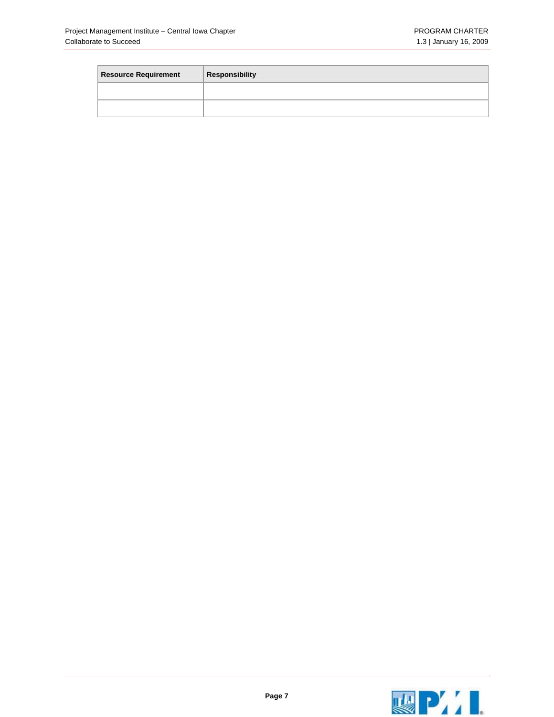| <b>Resource Requirement</b> | <b>Responsibility</b> |
|-----------------------------|-----------------------|
|                             |                       |
|                             |                       |

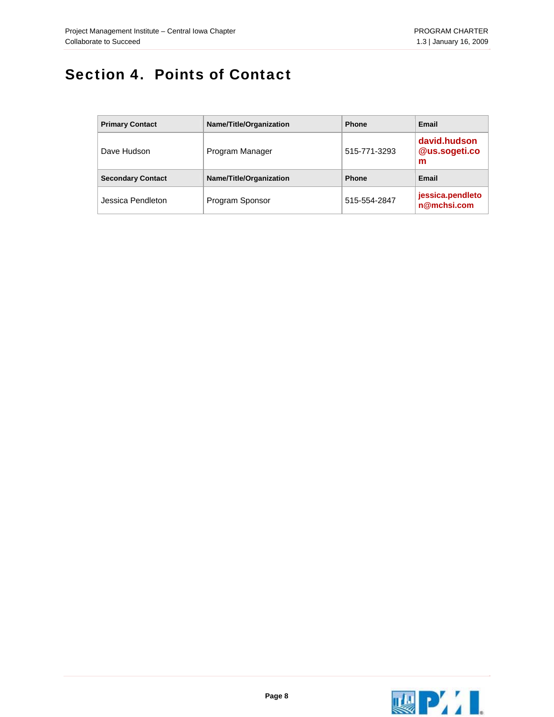## <span id="page-9-0"></span>Section 4. Points of Contact

| <b>Primary Contact</b>   | Name/Title/Organization | <b>Phone</b> | Email                              |
|--------------------------|-------------------------|--------------|------------------------------------|
| Dave Hudson              | Program Manager         | 515-771-3293 | david.hudson<br>@us.sogeti.co<br>m |
| <b>Secondary Contact</b> | Name/Title/Organization | <b>Phone</b> | Email                              |
| Jessica Pendleton        | Program Sponsor         | 515-554-2847 | jessica.pendleto<br>n@mchsi.com    |

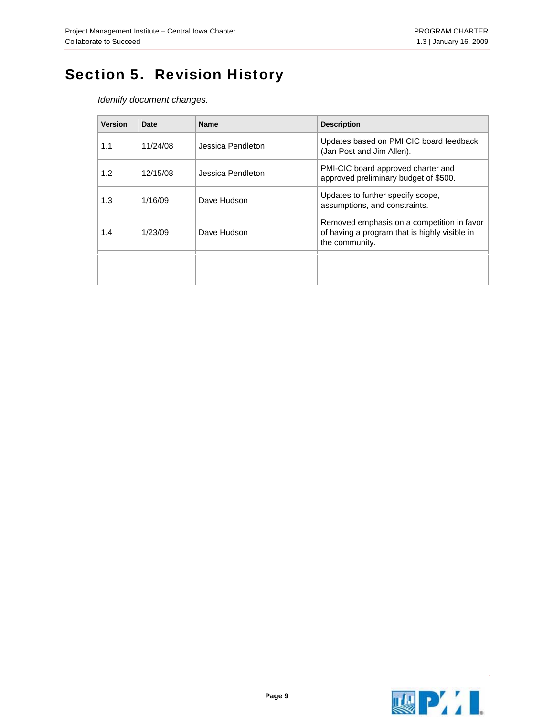# <span id="page-10-0"></span>Section 5. Revision History

*Identify document changes.* 

| <b>Version</b> | Date     | <b>Name</b>       | <b>Description</b>                                                                                            |
|----------------|----------|-------------------|---------------------------------------------------------------------------------------------------------------|
| 1.1            | 11/24/08 | Jessica Pendleton | Updates based on PMI CIC board feedback<br>(Jan Post and Jim Allen).                                          |
| 1.2            | 12/15/08 | Jessica Pendleton | PMI-CIC board approved charter and<br>approved preliminary budget of \$500.                                   |
| 1.3            | 1/16/09  | Dave Hudson       | Updates to further specify scope,<br>assumptions, and constraints.                                            |
| 1.4            | 1/23/09  | Dave Hudson       | Removed emphasis on a competition in favor<br>of having a program that is highly visible in<br>the community. |
|                |          |                   |                                                                                                               |
|                |          |                   |                                                                                                               |